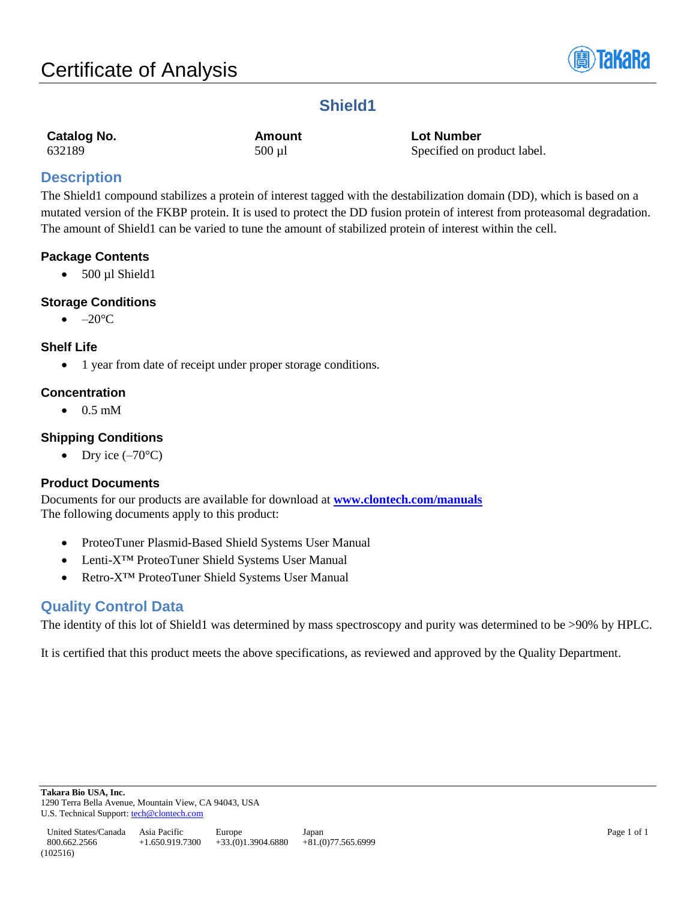

# **Shield1**

| Catalog No. | Amount      | <b>Lot Number</b>           |
|-------------|-------------|-----------------------------|
| 632189      | $500 \mu l$ | Specified on product label. |

# **Description**

The Shield1 compound stabilizes a protein of interest tagged with the destabilization domain (DD), which is based on a mutated version of the FKBP protein. It is used to protect the DD fusion protein of interest from proteasomal degradation. The amount of Shield1 can be varied to tune the amount of stabilized protein of interest within the cell.

# **Package Contents**

 $\bullet$  500 µl Shield1

# **Storage Conditions**

 $\bullet$  –20 $\rm ^{\circ}C$ 

# **Shelf Life**

• 1 year from date of receipt under proper storage conditions.

# **Concentration**

 $\bullet$  0.5 mM

# **Shipping Conditions**

• Dry ice  $(-70^{\circ}C)$ 

# **Product Documents**

Documents for our products are available for download at **[www.clontech.com/manuals](http://www.clontech.com/manuals)** The following documents apply to this product:

- ProteoTuner Plasmid-Based Shield Systems User Manual
- Lenti-X™ ProteoTuner Shield Systems User Manual
- Retro-X™ ProteoTuner Shield Systems User Manual

# **Quality Control Data**

The identity of this lot of Shield1 was determined by mass spectroscopy and purity was determined to be >90% by HPLC.

It is certified that this product meets the above specifications, as reviewed and approved by the Quality Department.